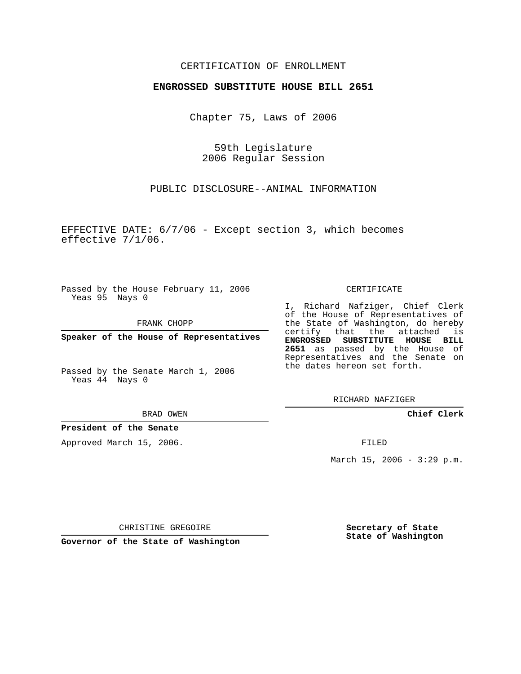## CERTIFICATION OF ENROLLMENT

#### **ENGROSSED SUBSTITUTE HOUSE BILL 2651**

Chapter 75, Laws of 2006

59th Legislature 2006 Regular Session

PUBLIC DISCLOSURE--ANIMAL INFORMATION

EFFECTIVE DATE: 6/7/06 - Except section 3, which becomes effective 7/1/06.

Passed by the House February 11, 2006 Yeas 95 Nays 0

FRANK CHOPP

**Speaker of the House of Representatives**

Passed by the Senate March 1, 2006 Yeas 44 Nays 0

BRAD OWEN

### **President of the Senate**

Approved March 15, 2006.

CERTIFICATE

I, Richard Nafziger, Chief Clerk of the House of Representatives of the State of Washington, do hereby certify that the attached is **ENGROSSED SUBSTITUTE HOUSE BILL 2651** as passed by the House of Representatives and the Senate on the dates hereon set forth.

RICHARD NAFZIGER

**Chief Clerk**

FILED

March 15, 2006 -  $3:29$  p.m.

CHRISTINE GREGOIRE

**Governor of the State of Washington**

**Secretary of State State of Washington**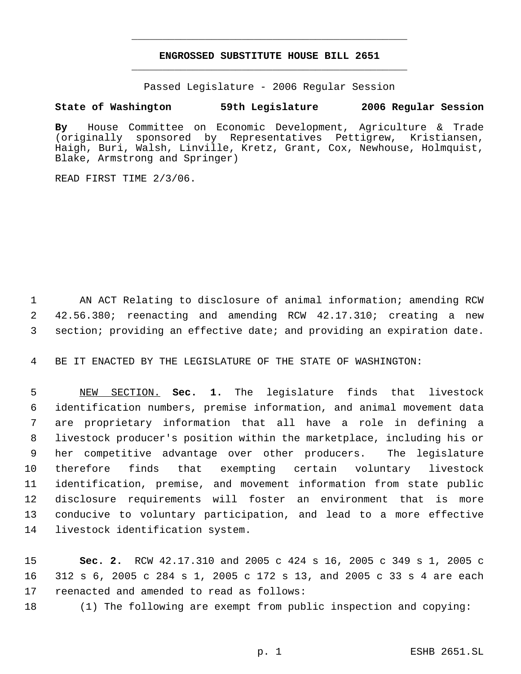# **ENGROSSED SUBSTITUTE HOUSE BILL 2651** \_\_\_\_\_\_\_\_\_\_\_\_\_\_\_\_\_\_\_\_\_\_\_\_\_\_\_\_\_\_\_\_\_\_\_\_\_\_\_\_\_\_\_\_\_

\_\_\_\_\_\_\_\_\_\_\_\_\_\_\_\_\_\_\_\_\_\_\_\_\_\_\_\_\_\_\_\_\_\_\_\_\_\_\_\_\_\_\_\_\_

Passed Legislature - 2006 Regular Session

## **State of Washington 59th Legislature 2006 Regular Session**

**By** House Committee on Economic Development, Agriculture & Trade (originally sponsored by Representatives Pettigrew, Kristiansen, Haigh, Buri, Walsh, Linville, Kretz, Grant, Cox, Newhouse, Holmquist, Blake, Armstrong and Springer)

READ FIRST TIME 2/3/06.

 AN ACT Relating to disclosure of animal information; amending RCW 42.56.380; reenacting and amending RCW 42.17.310; creating a new section; providing an effective date; and providing an expiration date.

BE IT ENACTED BY THE LEGISLATURE OF THE STATE OF WASHINGTON:

 NEW SECTION. **Sec. 1.** The legislature finds that livestock identification numbers, premise information, and animal movement data are proprietary information that all have a role in defining a livestock producer's position within the marketplace, including his or her competitive advantage over other producers. The legislature therefore finds that exempting certain voluntary livestock identification, premise, and movement information from state public disclosure requirements will foster an environment that is more conducive to voluntary participation, and lead to a more effective livestock identification system.

 **Sec. 2.** RCW 42.17.310 and 2005 c 424 s 16, 2005 c 349 s 1, 2005 c 312 s 6, 2005 c 284 s 1, 2005 c 172 s 13, and 2005 c 33 s 4 are each reenacted and amended to read as follows:

(1) The following are exempt from public inspection and copying: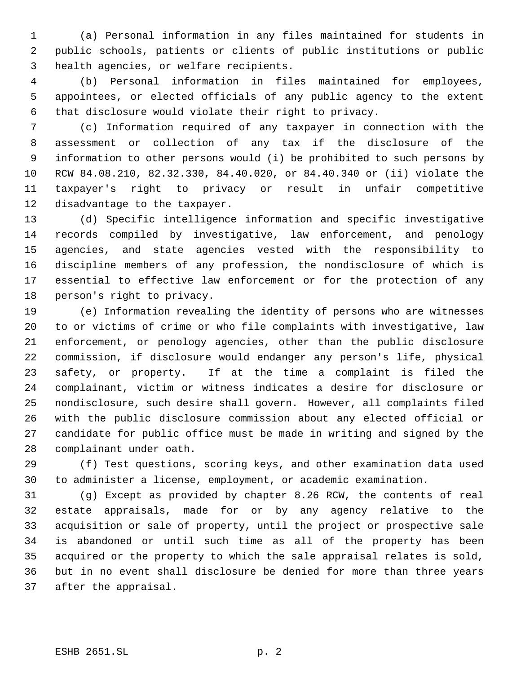(a) Personal information in any files maintained for students in public schools, patients or clients of public institutions or public health agencies, or welfare recipients.

 (b) Personal information in files maintained for employees, appointees, or elected officials of any public agency to the extent that disclosure would violate their right to privacy.

 (c) Information required of any taxpayer in connection with the assessment or collection of any tax if the disclosure of the information to other persons would (i) be prohibited to such persons by RCW 84.08.210, 82.32.330, 84.40.020, or 84.40.340 or (ii) violate the taxpayer's right to privacy or result in unfair competitive disadvantage to the taxpayer.

 (d) Specific intelligence information and specific investigative records compiled by investigative, law enforcement, and penology agencies, and state agencies vested with the responsibility to discipline members of any profession, the nondisclosure of which is essential to effective law enforcement or for the protection of any person's right to privacy.

 (e) Information revealing the identity of persons who are witnesses to or victims of crime or who file complaints with investigative, law enforcement, or penology agencies, other than the public disclosure commission, if disclosure would endanger any person's life, physical safety, or property. If at the time a complaint is filed the complainant, victim or witness indicates a desire for disclosure or nondisclosure, such desire shall govern. However, all complaints filed with the public disclosure commission about any elected official or candidate for public office must be made in writing and signed by the complainant under oath.

 (f) Test questions, scoring keys, and other examination data used to administer a license, employment, or academic examination.

 (g) Except as provided by chapter 8.26 RCW, the contents of real estate appraisals, made for or by any agency relative to the acquisition or sale of property, until the project or prospective sale is abandoned or until such time as all of the property has been acquired or the property to which the sale appraisal relates is sold, but in no event shall disclosure be denied for more than three years after the appraisal.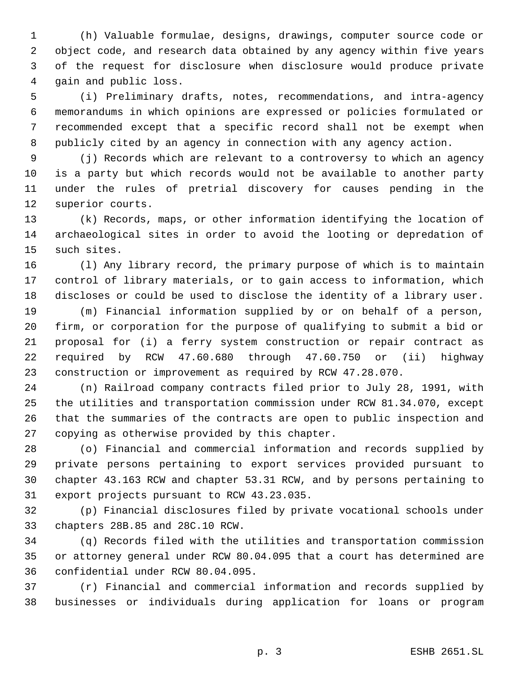(h) Valuable formulae, designs, drawings, computer source code or object code, and research data obtained by any agency within five years of the request for disclosure when disclosure would produce private gain and public loss.

 (i) Preliminary drafts, notes, recommendations, and intra-agency memorandums in which opinions are expressed or policies formulated or recommended except that a specific record shall not be exempt when publicly cited by an agency in connection with any agency action.

 (j) Records which are relevant to a controversy to which an agency is a party but which records would not be available to another party under the rules of pretrial discovery for causes pending in the superior courts.

 (k) Records, maps, or other information identifying the location of archaeological sites in order to avoid the looting or depredation of such sites.

 (l) Any library record, the primary purpose of which is to maintain control of library materials, or to gain access to information, which discloses or could be used to disclose the identity of a library user.

 (m) Financial information supplied by or on behalf of a person, firm, or corporation for the purpose of qualifying to submit a bid or proposal for (i) a ferry system construction or repair contract as required by RCW 47.60.680 through 47.60.750 or (ii) highway construction or improvement as required by RCW 47.28.070.

 (n) Railroad company contracts filed prior to July 28, 1991, with the utilities and transportation commission under RCW 81.34.070, except that the summaries of the contracts are open to public inspection and copying as otherwise provided by this chapter.

 (o) Financial and commercial information and records supplied by private persons pertaining to export services provided pursuant to chapter 43.163 RCW and chapter 53.31 RCW, and by persons pertaining to export projects pursuant to RCW 43.23.035.

 (p) Financial disclosures filed by private vocational schools under chapters 28B.85 and 28C.10 RCW.

 (q) Records filed with the utilities and transportation commission or attorney general under RCW 80.04.095 that a court has determined are confidential under RCW 80.04.095.

 (r) Financial and commercial information and records supplied by businesses or individuals during application for loans or program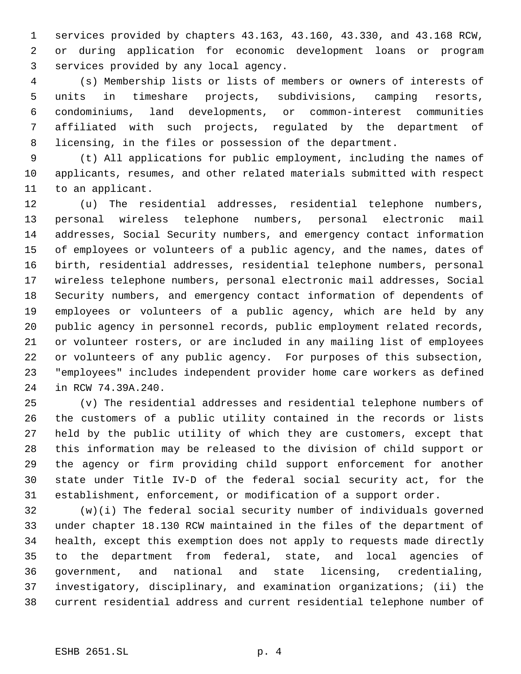services provided by chapters 43.163, 43.160, 43.330, and 43.168 RCW, or during application for economic development loans or program services provided by any local agency.

 (s) Membership lists or lists of members or owners of interests of units in timeshare projects, subdivisions, camping resorts, condominiums, land developments, or common-interest communities affiliated with such projects, regulated by the department of licensing, in the files or possession of the department.

 (t) All applications for public employment, including the names of applicants, resumes, and other related materials submitted with respect to an applicant.

 (u) The residential addresses, residential telephone numbers, personal wireless telephone numbers, personal electronic mail addresses, Social Security numbers, and emergency contact information of employees or volunteers of a public agency, and the names, dates of birth, residential addresses, residential telephone numbers, personal wireless telephone numbers, personal electronic mail addresses, Social Security numbers, and emergency contact information of dependents of employees or volunteers of a public agency, which are held by any public agency in personnel records, public employment related records, or volunteer rosters, or are included in any mailing list of employees or volunteers of any public agency. For purposes of this subsection, "employees" includes independent provider home care workers as defined in RCW 74.39A.240.

 (v) The residential addresses and residential telephone numbers of the customers of a public utility contained in the records or lists held by the public utility of which they are customers, except that this information may be released to the division of child support or the agency or firm providing child support enforcement for another state under Title IV-D of the federal social security act, for the establishment, enforcement, or modification of a support order.

 (w)(i) The federal social security number of individuals governed under chapter 18.130 RCW maintained in the files of the department of health, except this exemption does not apply to requests made directly to the department from federal, state, and local agencies of government, and national and state licensing, credentialing, investigatory, disciplinary, and examination organizations; (ii) the current residential address and current residential telephone number of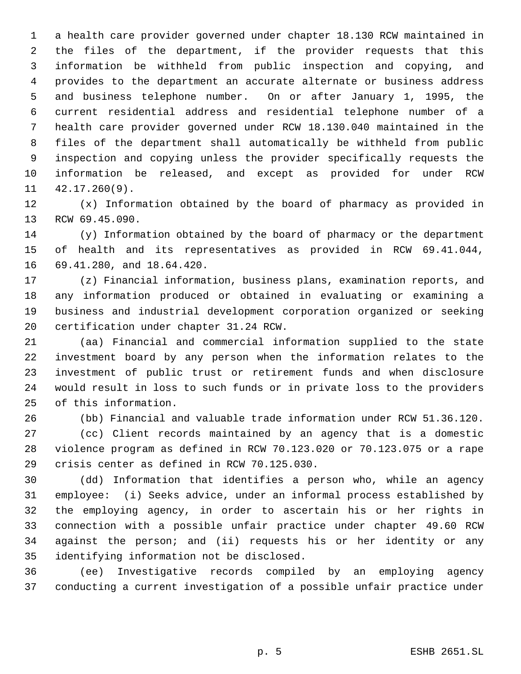a health care provider governed under chapter 18.130 RCW maintained in the files of the department, if the provider requests that this information be withheld from public inspection and copying, and provides to the department an accurate alternate or business address and business telephone number. On or after January 1, 1995, the current residential address and residential telephone number of a health care provider governed under RCW 18.130.040 maintained in the files of the department shall automatically be withheld from public inspection and copying unless the provider specifically requests the information be released, and except as provided for under RCW 42.17.260(9).

 (x) Information obtained by the board of pharmacy as provided in RCW 69.45.090.

 (y) Information obtained by the board of pharmacy or the department of health and its representatives as provided in RCW 69.41.044, 69.41.280, and 18.64.420.

 (z) Financial information, business plans, examination reports, and any information produced or obtained in evaluating or examining a business and industrial development corporation organized or seeking certification under chapter 31.24 RCW.

 (aa) Financial and commercial information supplied to the state investment board by any person when the information relates to the investment of public trust or retirement funds and when disclosure would result in loss to such funds or in private loss to the providers of this information.

 (bb) Financial and valuable trade information under RCW 51.36.120. (cc) Client records maintained by an agency that is a domestic violence program as defined in RCW 70.123.020 or 70.123.075 or a rape crisis center as defined in RCW 70.125.030.

 (dd) Information that identifies a person who, while an agency employee: (i) Seeks advice, under an informal process established by the employing agency, in order to ascertain his or her rights in connection with a possible unfair practice under chapter 49.60 RCW against the person; and (ii) requests his or her identity or any identifying information not be disclosed.

 (ee) Investigative records compiled by an employing agency conducting a current investigation of a possible unfair practice under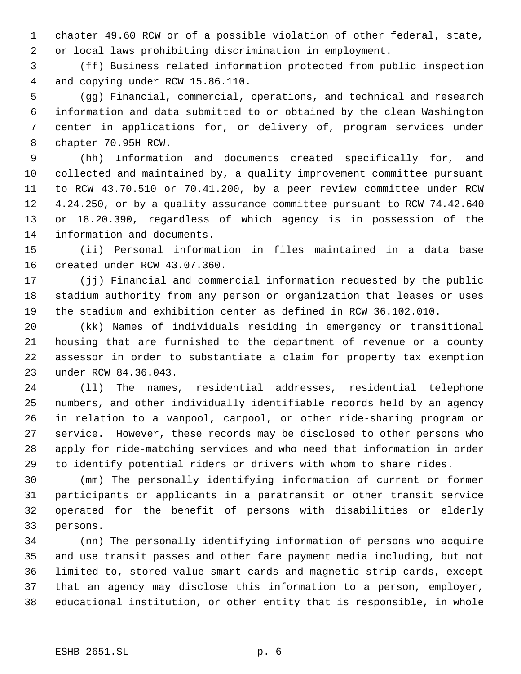chapter 49.60 RCW or of a possible violation of other federal, state, or local laws prohibiting discrimination in employment.

 (ff) Business related information protected from public inspection and copying under RCW 15.86.110.

 (gg) Financial, commercial, operations, and technical and research information and data submitted to or obtained by the clean Washington center in applications for, or delivery of, program services under chapter 70.95H RCW.

 (hh) Information and documents created specifically for, and collected and maintained by, a quality improvement committee pursuant to RCW 43.70.510 or 70.41.200, by a peer review committee under RCW 4.24.250, or by a quality assurance committee pursuant to RCW 74.42.640 or 18.20.390, regardless of which agency is in possession of the information and documents.

 (ii) Personal information in files maintained in a data base created under RCW 43.07.360.

 (jj) Financial and commercial information requested by the public stadium authority from any person or organization that leases or uses the stadium and exhibition center as defined in RCW 36.102.010.

 (kk) Names of individuals residing in emergency or transitional housing that are furnished to the department of revenue or a county assessor in order to substantiate a claim for property tax exemption under RCW 84.36.043.

 (ll) The names, residential addresses, residential telephone numbers, and other individually identifiable records held by an agency in relation to a vanpool, carpool, or other ride-sharing program or service. However, these records may be disclosed to other persons who apply for ride-matching services and who need that information in order to identify potential riders or drivers with whom to share rides.

 (mm) The personally identifying information of current or former participants or applicants in a paratransit or other transit service operated for the benefit of persons with disabilities or elderly persons.

 (nn) The personally identifying information of persons who acquire and use transit passes and other fare payment media including, but not limited to, stored value smart cards and magnetic strip cards, except that an agency may disclose this information to a person, employer, educational institution, or other entity that is responsible, in whole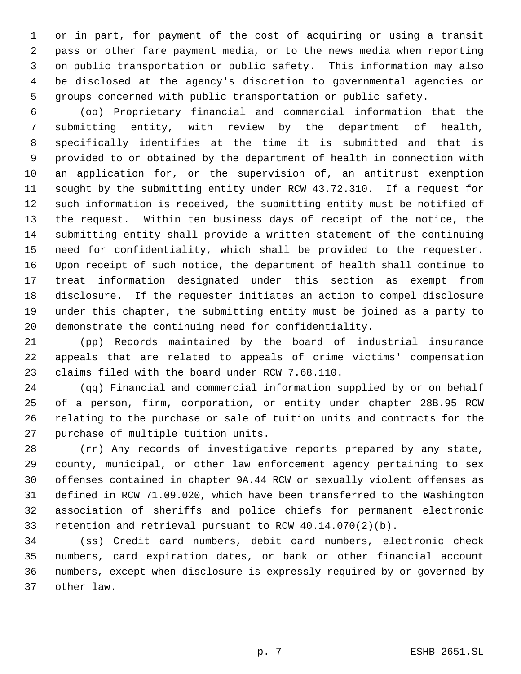or in part, for payment of the cost of acquiring or using a transit pass or other fare payment media, or to the news media when reporting on public transportation or public safety. This information may also be disclosed at the agency's discretion to governmental agencies or groups concerned with public transportation or public safety.

 (oo) Proprietary financial and commercial information that the submitting entity, with review by the department of health, specifically identifies at the time it is submitted and that is provided to or obtained by the department of health in connection with an application for, or the supervision of, an antitrust exemption sought by the submitting entity under RCW 43.72.310. If a request for such information is received, the submitting entity must be notified of the request. Within ten business days of receipt of the notice, the submitting entity shall provide a written statement of the continuing need for confidentiality, which shall be provided to the requester. Upon receipt of such notice, the department of health shall continue to treat information designated under this section as exempt from disclosure. If the requester initiates an action to compel disclosure under this chapter, the submitting entity must be joined as a party to demonstrate the continuing need for confidentiality.

 (pp) Records maintained by the board of industrial insurance appeals that are related to appeals of crime victims' compensation claims filed with the board under RCW 7.68.110.

 (qq) Financial and commercial information supplied by or on behalf of a person, firm, corporation, or entity under chapter 28B.95 RCW relating to the purchase or sale of tuition units and contracts for the purchase of multiple tuition units.

 (rr) Any records of investigative reports prepared by any state, county, municipal, or other law enforcement agency pertaining to sex offenses contained in chapter 9A.44 RCW or sexually violent offenses as defined in RCW 71.09.020, which have been transferred to the Washington association of sheriffs and police chiefs for permanent electronic retention and retrieval pursuant to RCW 40.14.070(2)(b).

 (ss) Credit card numbers, debit card numbers, electronic check numbers, card expiration dates, or bank or other financial account numbers, except when disclosure is expressly required by or governed by other law.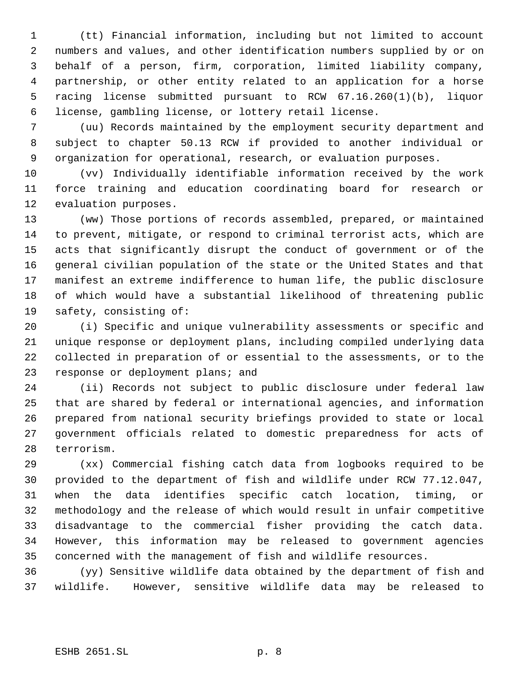(tt) Financial information, including but not limited to account numbers and values, and other identification numbers supplied by or on behalf of a person, firm, corporation, limited liability company, partnership, or other entity related to an application for a horse racing license submitted pursuant to RCW 67.16.260(1)(b), liquor license, gambling license, or lottery retail license.

 (uu) Records maintained by the employment security department and subject to chapter 50.13 RCW if provided to another individual or organization for operational, research, or evaluation purposes.

 (vv) Individually identifiable information received by the work force training and education coordinating board for research or evaluation purposes.

 (ww) Those portions of records assembled, prepared, or maintained to prevent, mitigate, or respond to criminal terrorist acts, which are acts that significantly disrupt the conduct of government or of the general civilian population of the state or the United States and that manifest an extreme indifference to human life, the public disclosure of which would have a substantial likelihood of threatening public safety, consisting of:

 (i) Specific and unique vulnerability assessments or specific and unique response or deployment plans, including compiled underlying data collected in preparation of or essential to the assessments, or to the response or deployment plans; and

 (ii) Records not subject to public disclosure under federal law that are shared by federal or international agencies, and information prepared from national security briefings provided to state or local government officials related to domestic preparedness for acts of terrorism.

 (xx) Commercial fishing catch data from logbooks required to be provided to the department of fish and wildlife under RCW 77.12.047, when the data identifies specific catch location, timing, or methodology and the release of which would result in unfair competitive disadvantage to the commercial fisher providing the catch data. However, this information may be released to government agencies concerned with the management of fish and wildlife resources.

 (yy) Sensitive wildlife data obtained by the department of fish and wildlife. However, sensitive wildlife data may be released to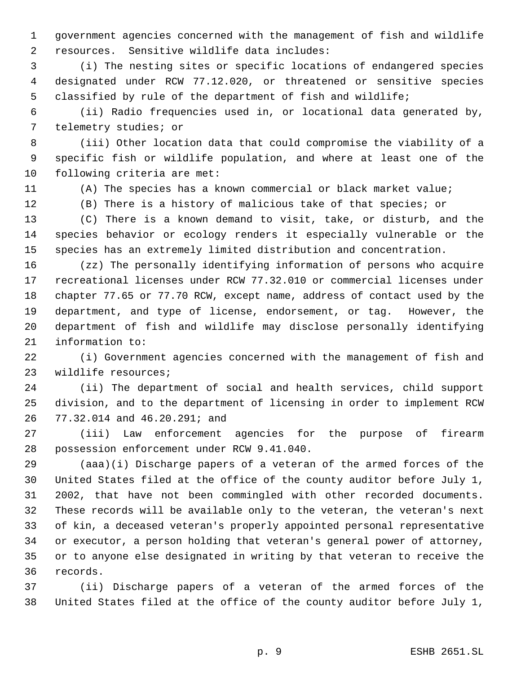government agencies concerned with the management of fish and wildlife resources. Sensitive wildlife data includes:

 (i) The nesting sites or specific locations of endangered species designated under RCW 77.12.020, or threatened or sensitive species classified by rule of the department of fish and wildlife;

 (ii) Radio frequencies used in, or locational data generated by, telemetry studies; or

 (iii) Other location data that could compromise the viability of a specific fish or wildlife population, and where at least one of the following criteria are met:

(A) The species has a known commercial or black market value;

(B) There is a history of malicious take of that species; or

 (C) There is a known demand to visit, take, or disturb, and the species behavior or ecology renders it especially vulnerable or the species has an extremely limited distribution and concentration.

 (zz) The personally identifying information of persons who acquire recreational licenses under RCW 77.32.010 or commercial licenses under chapter 77.65 or 77.70 RCW, except name, address of contact used by the department, and type of license, endorsement, or tag. However, the department of fish and wildlife may disclose personally identifying information to:

 (i) Government agencies concerned with the management of fish and wildlife resources;

 (ii) The department of social and health services, child support division, and to the department of licensing in order to implement RCW 77.32.014 and 46.20.291; and

 (iii) Law enforcement agencies for the purpose of firearm possession enforcement under RCW 9.41.040.

 (aaa)(i) Discharge papers of a veteran of the armed forces of the United States filed at the office of the county auditor before July 1, 2002, that have not been commingled with other recorded documents. These records will be available only to the veteran, the veteran's next of kin, a deceased veteran's properly appointed personal representative or executor, a person holding that veteran's general power of attorney, or to anyone else designated in writing by that veteran to receive the records.

 (ii) Discharge papers of a veteran of the armed forces of the United States filed at the office of the county auditor before July 1,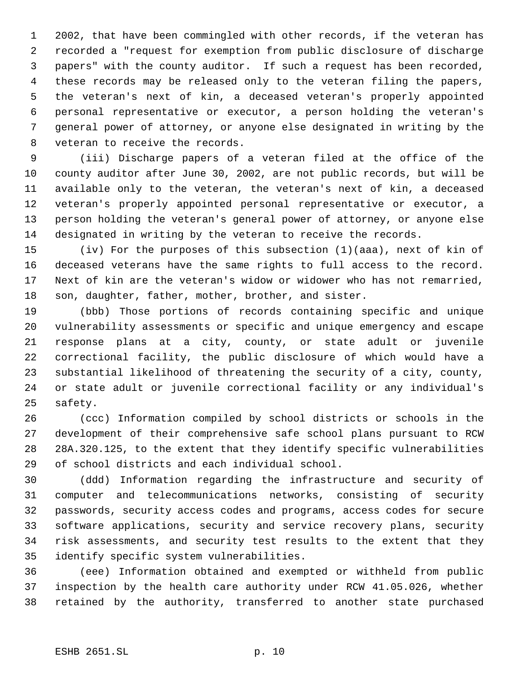2002, that have been commingled with other records, if the veteran has recorded a "request for exemption from public disclosure of discharge papers" with the county auditor. If such a request has been recorded, these records may be released only to the veteran filing the papers, the veteran's next of kin, a deceased veteran's properly appointed personal representative or executor, a person holding the veteran's general power of attorney, or anyone else designated in writing by the veteran to receive the records.

 (iii) Discharge papers of a veteran filed at the office of the county auditor after June 30, 2002, are not public records, but will be available only to the veteran, the veteran's next of kin, a deceased veteran's properly appointed personal representative or executor, a person holding the veteran's general power of attorney, or anyone else designated in writing by the veteran to receive the records.

 (iv) For the purposes of this subsection (1)(aaa), next of kin of deceased veterans have the same rights to full access to the record. Next of kin are the veteran's widow or widower who has not remarried, son, daughter, father, mother, brother, and sister.

 (bbb) Those portions of records containing specific and unique vulnerability assessments or specific and unique emergency and escape response plans at a city, county, or state adult or juvenile correctional facility, the public disclosure of which would have a substantial likelihood of threatening the security of a city, county, or state adult or juvenile correctional facility or any individual's safety.

 (ccc) Information compiled by school districts or schools in the development of their comprehensive safe school plans pursuant to RCW 28A.320.125, to the extent that they identify specific vulnerabilities of school districts and each individual school.

 (ddd) Information regarding the infrastructure and security of computer and telecommunications networks, consisting of security passwords, security access codes and programs, access codes for secure software applications, security and service recovery plans, security risk assessments, and security test results to the extent that they identify specific system vulnerabilities.

 (eee) Information obtained and exempted or withheld from public inspection by the health care authority under RCW 41.05.026, whether retained by the authority, transferred to another state purchased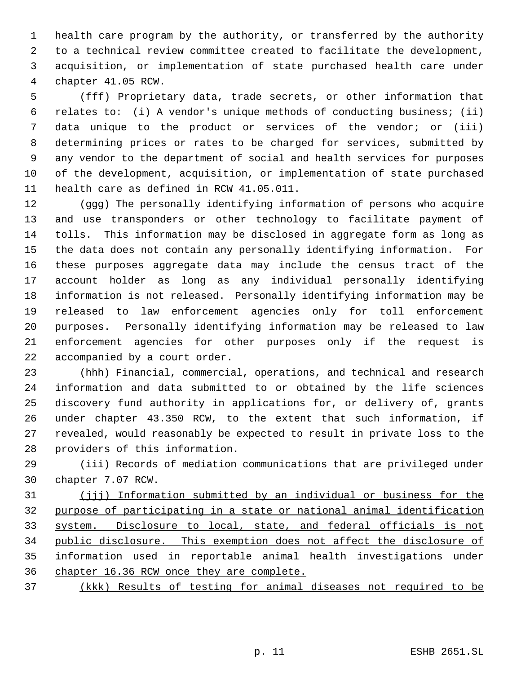health care program by the authority, or transferred by the authority to a technical review committee created to facilitate the development, acquisition, or implementation of state purchased health care under chapter 41.05 RCW.

 (fff) Proprietary data, trade secrets, or other information that relates to: (i) A vendor's unique methods of conducting business; (ii) data unique to the product or services of the vendor; or (iii) determining prices or rates to be charged for services, submitted by any vendor to the department of social and health services for purposes of the development, acquisition, or implementation of state purchased health care as defined in RCW 41.05.011.

 (ggg) The personally identifying information of persons who acquire and use transponders or other technology to facilitate payment of tolls. This information may be disclosed in aggregate form as long as the data does not contain any personally identifying information. For these purposes aggregate data may include the census tract of the account holder as long as any individual personally identifying information is not released. Personally identifying information may be released to law enforcement agencies only for toll enforcement purposes. Personally identifying information may be released to law enforcement agencies for other purposes only if the request is accompanied by a court order.

 (hhh) Financial, commercial, operations, and technical and research information and data submitted to or obtained by the life sciences discovery fund authority in applications for, or delivery of, grants under chapter 43.350 RCW, to the extent that such information, if revealed, would reasonably be expected to result in private loss to the providers of this information.

 (iii) Records of mediation communications that are privileged under chapter 7.07 RCW.

 (jjj) Information submitted by an individual or business for the purpose of participating in a state or national animal identification system. Disclosure to local, state, and federal officials is not public disclosure. This exemption does not affect the disclosure of information used in reportable animal health investigations under chapter 16.36 RCW once they are complete.

(kkk) Results of testing for animal diseases not required to be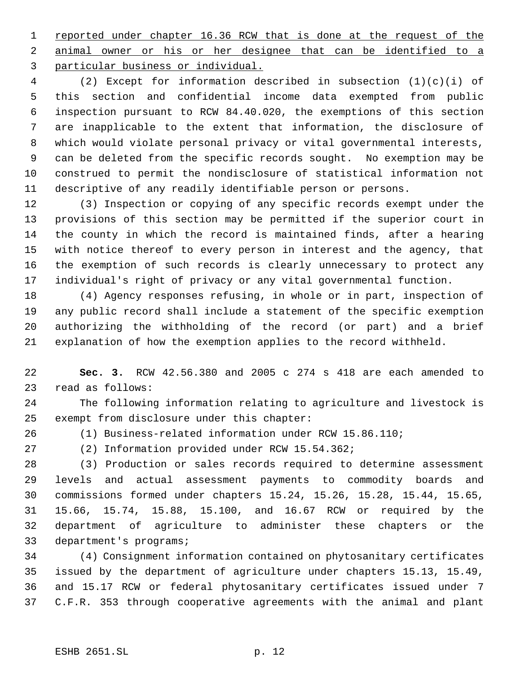1 reported under chapter 16.36 RCW that is done at the request of the animal owner or his or her designee that can be identified to a particular business or individual.

 (2) Except for information described in subsection (1)(c)(i) of this section and confidential income data exempted from public inspection pursuant to RCW 84.40.020, the exemptions of this section are inapplicable to the extent that information, the disclosure of which would violate personal privacy or vital governmental interests, can be deleted from the specific records sought. No exemption may be construed to permit the nondisclosure of statistical information not descriptive of any readily identifiable person or persons.

 (3) Inspection or copying of any specific records exempt under the provisions of this section may be permitted if the superior court in the county in which the record is maintained finds, after a hearing with notice thereof to every person in interest and the agency, that the exemption of such records is clearly unnecessary to protect any individual's right of privacy or any vital governmental function.

 (4) Agency responses refusing, in whole or in part, inspection of any public record shall include a statement of the specific exemption authorizing the withholding of the record (or part) and a brief explanation of how the exemption applies to the record withheld.

 **Sec. 3.** RCW 42.56.380 and 2005 c 274 s 418 are each amended to read as follows:

 The following information relating to agriculture and livestock is exempt from disclosure under this chapter:

(1) Business-related information under RCW 15.86.110;

(2) Information provided under RCW 15.54.362;

 (3) Production or sales records required to determine assessment levels and actual assessment payments to commodity boards and commissions formed under chapters 15.24, 15.26, 15.28, 15.44, 15.65, 15.66, 15.74, 15.88, 15.100, and 16.67 RCW or required by the department of agriculture to administer these chapters or the department's programs;

 (4) Consignment information contained on phytosanitary certificates issued by the department of agriculture under chapters 15.13, 15.49, and 15.17 RCW or federal phytosanitary certificates issued under 7 C.F.R. 353 through cooperative agreements with the animal and plant